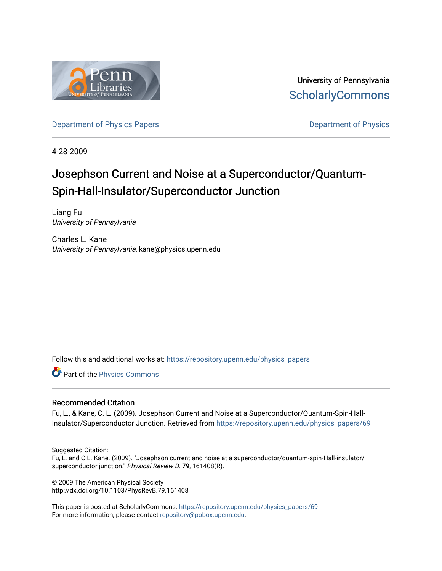

University of Pennsylvania **ScholarlyCommons** 

[Department of Physics Papers](https://repository.upenn.edu/physics_papers) **Department of Physics** 

4-28-2009

# Josephson Current and Noise at a Superconductor/Quantum-Spin-Hall-Insulator/Superconductor Junction

Liang Fu University of Pennsylvania

Charles L. Kane University of Pennsylvania, kane@physics.upenn.edu

Follow this and additional works at: [https://repository.upenn.edu/physics\\_papers](https://repository.upenn.edu/physics_papers?utm_source=repository.upenn.edu%2Fphysics_papers%2F69&utm_medium=PDF&utm_campaign=PDFCoverPages)

Part of the [Physics Commons](http://network.bepress.com/hgg/discipline/193?utm_source=repository.upenn.edu%2Fphysics_papers%2F69&utm_medium=PDF&utm_campaign=PDFCoverPages)

#### Recommended Citation

Fu, L., & Kane, C. L. (2009). Josephson Current and Noise at a Superconductor/Quantum-Spin-Hall-Insulator/Superconductor Junction. Retrieved from [https://repository.upenn.edu/physics\\_papers/69](https://repository.upenn.edu/physics_papers/69?utm_source=repository.upenn.edu%2Fphysics_papers%2F69&utm_medium=PDF&utm_campaign=PDFCoverPages) 

Suggested Citation:

Fu, L. and C.L. Kane. (2009). "Josephson current and noise at a superconductor/quantum-spin-Hall-insulator/ superconductor junction." Physical Review B. 79, 161408(R).

© 2009 The American Physical Society http://dx.doi.org/10.1103/PhysRevB.79.161408

This paper is posted at ScholarlyCommons. [https://repository.upenn.edu/physics\\_papers/69](https://repository.upenn.edu/physics_papers/69)  For more information, please contact [repository@pobox.upenn.edu.](mailto:repository@pobox.upenn.edu)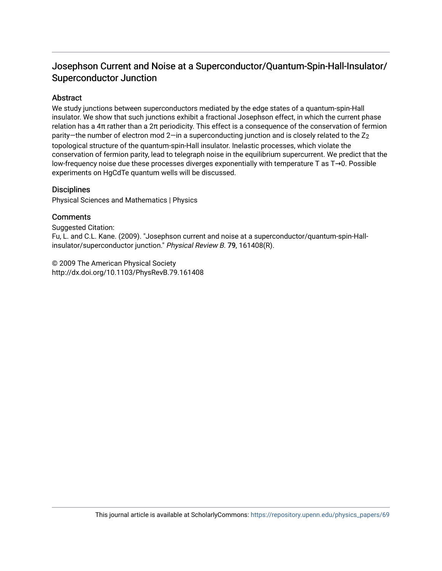## Josephson Current and Noise at a Superconductor/Quantum-Spin-Hall-Insulator/ Superconductor Junction

## **Abstract**

We study junctions between superconductors mediated by the edge states of a quantum-spin-Hall insulator. We show that such junctions exhibit a fractional Josephson effect, in which the current phase relation has a 4π rather than a 2π periodicity. This effect is a consequence of the conservation of fermion parity—the number of electron mod  $2$ —in a superconducting junction and is closely related to the  $Z_2$ topological structure of the quantum-spin-Hall insulator. Inelastic processes, which violate the conservation of fermion parity, lead to telegraph noise in the equilibrium supercurrent. We predict that the low-frequency noise due these processes diverges exponentially with temperature T as T→0. Possible experiments on HgCdTe quantum wells will be discussed.

### **Disciplines**

Physical Sciences and Mathematics | Physics

## **Comments**

Suggested Citation: Fu, L. and C.L. Kane. (2009). "Josephson current and noise at a superconductor/quantum-spin-Hallinsulator/superconductor junction." Physical Review B. 79, 161408(R).

© 2009 The American Physical Society http://dx.doi.org/10.1103/PhysRevB.79.161408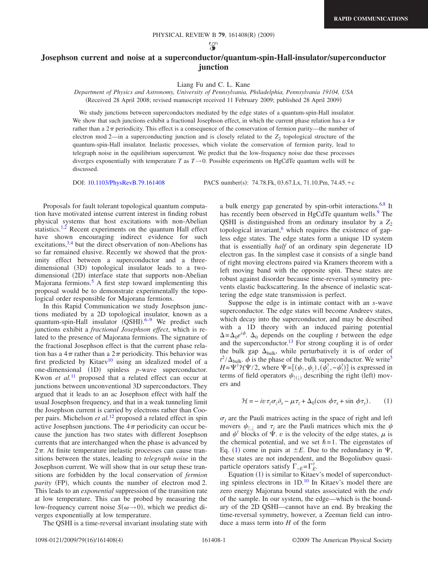#### **Josephson current and noise at a superconductor/quantum-spin-Hall-insulator/superconductor junction**

#### Liang Fu and C. L. Kane

*Department of Physics and Astronomy, University of Pennsylvania, Philadelphia, Pennsylvania 19104, USA*

Received 28 April 2008; revised manuscript received 11 February 2009; published 28 April 2009-

We study junctions between superconductors mediated by the edge states of a quantum-spin-Hall insulator. We show that such junctions exhibit a fractional Josephson effect, in which the current phase relation has a  $4\pi$ rather than a  $2\pi$  periodicity. This effect is a consequence of the conservation of fermion parity—the number of electron mod  $2$ —in a superconducting junction and is closely related to the  $Z_2$  topological structure of the quantum-spin-Hall insulator. Inelastic processes, which violate the conservation of fermion parity, lead to telegraph noise in the equilibrium supercurrent. We predict that the low-frequency noise due these processes diverges exponentially with temperature *T* as  $T \rightarrow 0$ . Possible experiments on HgCdTe quantum wells will be discussed.

DOI: [10.1103/PhysRevB.79.161408](http://dx.doi.org/10.1103/PhysRevB.79.161408)

: 74.78.Fk, 03.67.Lx, 71.10.Pm, 74.45.-c

Proposals for fault tolerant topological quantum computation have motivated intense current interest in finding robust physical systems that host excitations with non-Abelian statistics.<sup>1,[2](#page-5-1)</sup> Recent experiments on the quantum Hall effect have shown encouraging indirect evidence for such excitations, $3,4$  $3,4$  but the direct observation of non-Abelions has so far remained elusive. Recently we showed that the proximity effect between a superconductor and a threedimensional (3D) topological insulator leads to a twodimensional (2D) interface state that supports non-Abelian Majorana fermions.<sup>5</sup> A first step toward implementing this proposal would be to demonstrate experimentally the topological order responsible for Majorana fermions.

In this Rapid Communication we study Josephson junctions mediated by a 2D topological insulator, known as a quantum-spin-Hall insulator (QSHI).<sup>[6–](#page-5-5)[9](#page-5-6)</sup> We predict such junctions exhibit a *fractional Josephson effect*, which is related to the presence of Majorana fermions. The signature of the fractional Josephson effect is that the current phase relation has a  $4\pi$  rather than a  $2\pi$  periodicity. This behavior was first predicted by Kitaev<sup>10</sup> using an idealized model of a one-dimensional (1D) spinless *p*-wave superconductor. Kwon *et al.*<sup>[11](#page-5-8)</sup> proposed that a related effect can occur at junctions between unconventional 3D superconductors. They argued that it leads to an ac Josephson effect with half the usual Josephson frequency, and that in a weak tunneling limit the Josephson current is carried by electrons rather than Cooper pairs. Michelson *et al.*[12](#page-5-9) proposed a related effect in spin active Josephson junctions. The  $4\pi$  periodicity can occur because the junction has two states with different Josephson currents that are interchanged when the phase is advanced by  $2\pi$ . At finite temperature inelastic processes can cause transitions between the states, leading to *telegraph noise* in the Josephson current. We will show that in our setup these transitions are forbidden by the local conservation of *fermion* parity (FP), which counts the number of electron mod 2. This leads to an *exponential* suppression of the transition rate at low temperature. This can be probed by measuring the low-frequency current noise  $S(\omega \rightarrow 0)$ , which we predict diverges exponentially at low temperature.

The QSHI is a time-reversal invariant insulating state with

a bulk energy gap generated by spin-orbit interactions.<sup>6[,8](#page-5-10)</sup> It has recently been observed in HgCdTe quantum wells.<sup>9</sup> The QSHI is distinguished from an ordinary insulator by a  $Z_2$ topological invariant, $6$  which requires the existence of gapless edge states. The edge states form a unique 1D system that is essentially *half* of an ordinary spin degenerate 1D electron gas. In the simplest case it consists of a single band of right moving electrons paired via Kramers theorem with a left moving band with the opposite spin. These states are robust against disorder because time-reversal symmetry prevents elastic backscattering. In the absence of inelastic scattering the edge state transmission is perfect.

Suppose the edge is in intimate contact with an *s*-wave superconductor. The edge states will become Andreev states, which decay into the superconductor, and may be described with a 1D theory with an induced pairing potential  $\Delta = \Delta_0 e^{i\phi}$ .  $\Delta_0$  depends on the coupling *t* between the edge and the superconductor.<sup>13</sup> For strong coupling it is of order the bulk gap  $\Delta_{bulk}$ , while perturbatively it is of order of  $t^2/\Delta_{\text{bulk}}$ .  $\phi$  is the phase of the bulk superconductor. We write<sup>5</sup>  $H = \Psi^{\dagger} \mathcal{H} \Psi/2$ , where  $\Psi = [(\psi_{\uparrow}, \psi_{\downarrow}), (\psi_{\downarrow}^{\dagger}, -\psi_{\uparrow}^{\dagger})]$  is expressed in terms of field operators  $\psi_{\uparrow(\downarrow)}$  describing the right (left) movers and

$$
\mathcal{H} = -iv\,\tau_z\sigma_z\partial_x - \mu\,\tau_z + \Delta_0(\cos\,\phi\,\tau_x + \sin\,\phi\,\tau_y). \tag{1}
$$

<span id="page-2-0"></span> $\sigma_i$  are the Pauli matrices acting in the space of right and left movers  $\psi_{\uparrow}$  and  $\tau_i$  are the Pauli matrices which mix the  $\psi$ and  $\psi^{\dagger}$  blocks of  $\Psi$ . *v* is the velocity of the edge states,  $\mu$  is the chemical potential, and we set  $\hbar = 1$ . The eigenstates of Eq. ([1](#page-2-0)) come in pairs at  $\pm E$ . Due to the redundancy in  $\Psi$ , these states are not independent, and the Bogoliubov quasiparticle operators satisfy  $\Gamma_{-E} = \Gamma_E^{\dagger}$ .

Equation ([1](#page-2-0)) is similar to Kitaev's model of superconducting spinless electrons in  $1D<sup>10</sup>$  In Kitaev's model there are zero energy Majorana bound states associated with the *ends* of the sample. In our system, the edge—which is the boundary of the 2D QSHI—cannot have an end. By breaking the time-reversal symmetry, however, a Zeeman field can introduce a mass term into *H* of the form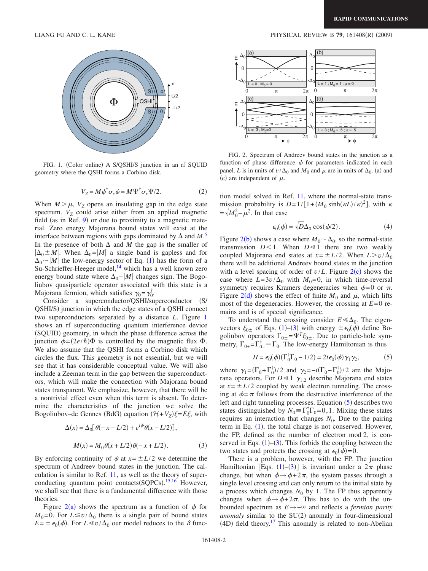<span id="page-3-0"></span>

FIG. 1. (Color online) A S/QSHI/S junction in an rf SQUID geometry where the QSHI forms a Corbino disk.

$$
V_Z = M \psi^{\dagger} \sigma_x \psi = M \Psi^{\dagger} \sigma_x \Psi / 2. \tag{2}
$$

When  $M > \mu$ ,  $V_Z$  opens an insulating gap in the edge state spectrum.  $V_Z$  could arise either from an applied magnetic field (as in Ref.  $9$ ) or due to proximity to a magnetic material. Zero energy Majorana bound states will exist at the interface between regions with gaps dominated by  $\Delta$  and  $M$ .<sup>[5](#page-5-4)</sup> In the presence of both  $\Delta$  and *M* the gap is the smaller of  $|\Delta_0 \pm M|$ . When  $\Delta_0 = |M|$  a single band is gapless and for  $\Delta_0 \sim |M|$  the low-energy sector of Eq. ([1](#page-2-0)) has the form of a Su-Schrieffer-Heeger model,<sup>14</sup> which has a well known zero energy bound state where  $\Delta_0$ −|M| changes sign. The Bogoliubov quasiparticle operator associated with this state is a Majorana fermion, which satisfies  $\gamma_0 = \gamma_0^{\dagger}$ .

Consider a superconductor/QSHI/superconductor (S/ QSHI/S) junction in which the edge states of a QSHI connect two superconductors separated by a distance *L*. Figure [1](#page-3-0) shows an rf superconducting quantum interference device (SQUID) geometry, in which the phase difference across the junction  $\phi = (2e/\hbar)\Phi$  is controlled by the magnetic flux  $\Phi$ . We also assume that the QSHI forms a Corbino disk which circles the flux. This geometry is not essential, but we will see that it has considerable conceptual value. We will also include a Zeeman term in the gap between the superconductors, which will make the connection with Majorana bound states transparent. We emphasize, however, that there will be a nontrivial effect even when this term is absent. To determine the characteristics of the junction we solve the Bogoliubov–de Gennes (BdG) equation  $(\mathcal{H} + V_Z)\xi = E\xi$ , with

$$
\Delta(x) = \Delta_0 \left[ \theta(-x - L/2) + e^{i\phi} \theta(x - L/2) \right],
$$
  

$$
M(x) = M_0 \theta(x + L/2) \theta(-x + L/2).
$$
 (3)

<span id="page-3-2"></span>By enforcing continuity of  $\psi$  at  $x = \pm L/2$  we determine the spectrum of Andreev bound states in the junction. The calculation is similar to Ref. [11,](#page-5-8) as well as the theory of superconducting quantum point contacts  $(SQPCs)$ .<sup>[15](#page-5-13)[,16](#page-5-14)</sup> However, we shall see that there is a fundamental difference with those theories.

Figure  $2(a)$  $2(a)$  shows the spectrum as a function of  $\phi$  for  $M_0=0$ . For  $L \le v/\Delta_0$  there is a single pair of bound states  $E = \pm \epsilon_0(\phi)$ . For  $L \ll v/\Delta_0$  our model reduces to the  $\delta$  func-

LIANG FU AND C. L. KANE **PHYSICAL REVIEW B** 79, 161408(R) (2009)

<span id="page-3-1"></span>

FIG. 2. Spectrum of Andreev bound states in the junction as a function of phase difference  $\phi$  for parameters indicated in each panel. *L* is in units of  $v/\Delta_0$  and  $M_0$  and  $\mu$  are in units of  $\Delta_0$ . (a) and (c) are independent of  $\mu$ .

tion model solved in Ref. [11,](#page-5-8) where the normal-state transmission probability is  $D=1/[1+(M_0 \sinh(\kappa L)/\kappa)^2]$ , with  $\kappa$  $=\sqrt{M_0^2 - \mu^2}$ . In that case

$$
\epsilon_0(\phi) = \sqrt{D}\Delta_0 \cos(\phi/2). \tag{4}
$$

<span id="page-3-4"></span>Figure [2](#page-3-1)(b) shows a case where  $M_0 \sim \Delta_0$ , so the normal-state transmission  $D<1$ . When  $D\ll 1$  there are two weakly coupled Majorana end states at  $x = \pm L/2$ . When  $L > v/\Delta_0$ there will be additional Andreev bound states in the junction with a level spacing of order of  $v/L$ . Figure  $2(c)$  $2(c)$  shows the case where  $L=3v/\Delta_0$  with  $M_0=0$ , in which time-reversal symmetry requires Kramers degeneracies when  $\phi=0$  or  $\pi$ . Figure [2](#page-3-1)(d) shows the effect of finite  $M_0$  and  $\mu$ , which lifts most of the degeneracies. However, the crossing at *E*=0 remains and is of special significance.

To understand the crossing consider  $E \ll \Delta_0$ . The eigenvectors  $\xi_{0\pm}$  of Eqs. ([1](#page-2-0))–([3](#page-3-2)) with energy  $\pm \epsilon_0(\phi)$  define Bogoliubov operators  $\Gamma_{0\pm} = \Psi^T \xi_{0\pm}$ . Due to particle-hole symmetry,  $\Gamma_{0+} = \Gamma_{0-}^{\dagger} \equiv \Gamma_0$ . The low-energy Hamiltonian is thus

$$
H = \epsilon_0(\phi)(\Gamma_0^{\dagger} \Gamma_0 - 1/2) = 2i \epsilon_0(\phi) \gamma_1 \gamma_2, \tag{5}
$$

<span id="page-3-3"></span>where  $\gamma_1 = (\Gamma_0 + \Gamma_0^{\dagger})/2$  and  $\gamma_2 = -i(\Gamma_0 - \Gamma_0^{\dagger})/2$  are the Majorana operators. For  $D \ll 1$   $\gamma_{1,2}$  describe Majorana end states at  $x = \pm L/2$  coupled by weak electron tunneling. The crossing at  $\phi = \pi$  follows from the destructive interference of the left and right tunneling processes. Equation ([5](#page-3-3)) describes two states distinguished by  $N_0 = \Gamma_0^{\dagger} \Gamma_0 = 0, 1$ . Mixing these states requires an interaction that changes  $N_0$ . Due to the pairing term in Eq.  $(1)$  $(1)$  $(1)$ , the total charge is not conserved. However, the FP, defined as the number of electron mod 2, is conserved in Eqs.  $(1)$  $(1)$  $(1)$ – $(3)$  $(3)$  $(3)$ . This forbids the coupling between the two states and protects the crossing at  $\epsilon_0(\phi) = 0$ .

There is a problem, however, with the FP. The junction Hamiltonian [Eqs.  $(1)$  $(1)$  $(1)$ – $(3)$  $(3)$  $(3)$ ] is invariant under a  $2\pi$  phase change, but when  $\phi \rightarrow \phi + 2\pi$ , the system passes through a single level crossing and can only return to the initial state by a process which changes  $N_0$  by 1. The FP thus apparently changes when  $\phi \rightarrow \phi + 2\pi$ . This has to do with the unbounded spectrum as *E*→− and reflects a *fermion parity* anomaly similar to the SU(2) anomaly in four-dimensional  $(4D)$  field theory.<sup>17</sup> This anomaly is related to non-Abelian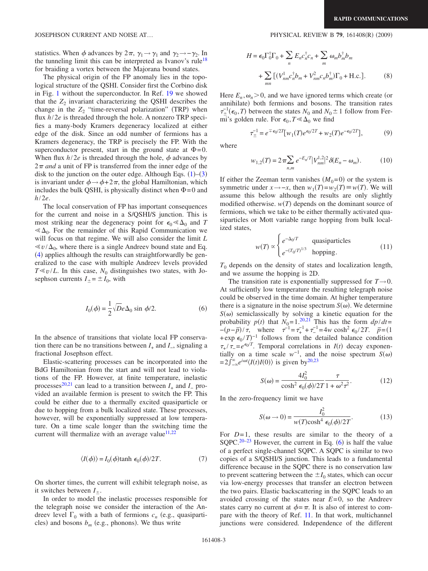statistics. When  $\phi$  advances by  $2\pi$ ,  $\gamma_1 \rightarrow \gamma_1$  and  $\gamma_2 \rightarrow -\gamma_2$ . In the tunneling limit this can be interpreted as Ivanov's rule<sup>18</sup> for braiding a vortex between the Majorana bound states.

The physical origin of the FP anomaly lies in the topological structure of the QSHI. Consider first the Corbino disk in Fig. [1](#page-3-0) without the superconductor. In Ref. [19](#page-5-17) we showed that the  $Z_2$  invariant characterizing the QSHI describes the change in the  $Z_2$  "time-reversal polarization" (TRP) when flux *h*/2*e* is threaded through the hole. A nonzero TRP specifies a many-body Kramers degeneracy localized at either edge of the disk. Since an odd number of fermions has a Kramers degeneracy, the TRP is precisely the FP. With the superconductor present, start in the ground state at  $\Phi=0$ . When flux  $h/2e$  is threaded through the hole,  $\phi$  advances by  $2\pi$  *and* a unit of FP is transferred from the inner edge of the disk to the junction on the outer edge. Although Eqs.  $(1)$  $(1)$  $(1)$ – $(3)$  $(3)$  $(3)$ is invariant under  $\phi \rightarrow \phi + 2\pi$ , the global Hamiltonian, which includes the bulk QSHI, is physically distinct when  $\Phi = 0$  and *h*/2*e*.

The local conservation of FP has important consequences for the current and noise in a S/QSHI/S junction. This is most striking near the degeneracy point for  $\epsilon_0 \ll \Delta_0$  and *T*  $\ll \Delta_0$ . For the remainder of this Rapid Communication we will focus on that regime. We will also consider the limit *L*  $\ll v/\Delta_0$ , where there is a single Andreev bound state and Eq. ([4](#page-3-4)) applies although the results can straightforwardly be generalized to the case with multiple Andreev levels provided  $T \ll v/L$ . In this case,  $N_0$  distinguishes two states, with Josephson currents  $I_{\pm} = \pm I_0$ , with

$$
I_0(\phi) = \frac{1}{2} \sqrt{D} e \Delta_0 \sin \phi / 2.
$$
 (6)

<span id="page-4-0"></span>In the absence of transitions that violate local FP conservation there can be no transitions between  $I_+$  and  $I_-$ , signaling a fractional Josephson effect.

Elastic-scattering processes can be incorporated into the BdG Hamiltonian from the start and will not lead to violations of the FP. However, at finite temperature, inelastic processes<sup>20[,21](#page-5-19)</sup> can lead to a transition between  $I_+$  and  $I_-$  provided an available fermion is present to switch the FP. This could be either due to a thermally excited quasiparticle or due to hopping from a bulk localized state. These processes, however, will be exponentially suppressed at low temperature. On a time scale longer than the switching time the current will thermalize with an average value $11,22$  $11,22$ 

$$
\langle I(\phi) \rangle = I_0(\phi) \tanh \epsilon_0(\phi) / 2T. \tag{7}
$$

On shorter times, the current will exhibit telegraph noise, as it switches between  $I_{\pm}$ .

In order to model the inelastic processes responsible for the telegraph noise we consider the interaction of the Andreev level  $\Gamma_0$  with a bath of fermions  $c_n$  (e.g., quasiparticles) and bosons  $b_m$  (e.g., phonons). We thus write

#### $(2009)$

$$
H = \epsilon_0 \Gamma_0^{\dagger} \Gamma_0 + \sum_n E_n c_n^{\dagger} c_n + \sum_m \omega_m b_m^{\dagger} b_m
$$
  
+ 
$$
\sum_{mn} \left[ (V_{nm}^1 c_n^{\dagger} b_m + V_{nm}^2 c_n b_m^{\dagger}) \Gamma_0 + \text{H.c.} \right].
$$
 (8)

Here  $E_n$ ,  $\omega_n$  > 0, and we have ignored terms which create (or annihilate) both fermions and bosons. The transition rates  $\tau_{\pm}^{-1}(\epsilon_0, T)$  between the states *N*<sub>0</sub> and *N*<sub>0</sub>  $\pm$  1 follow from Fermi's golden rule. For  $\epsilon_0$ ,  $T \ll \Delta_0$  we find

$$
\tau_{\pm}^{-1} = e^{\mp \epsilon_0/2T} [w_1(T) e^{\epsilon_0/2T} + w_2(T) e^{-\epsilon_0/2T}], \tag{9}
$$

where

$$
w_{1,2}(T) = 2\pi \sum_{n,m} e^{-E_n/T} |V_{nm}^{1,2}|^2 \delta(E_n - \omega_m). \tag{10}
$$

If either the Zeeman term vanishes  $(M_0=0)$  or the system is symmetric under  $x \to -x$ , then  $w_1(T) = w_2(T) \equiv w(T)$ . We will assume this below although the results are only slightly modified otherwise.  $w(T)$  depends on the dominant source of fermions, which we take to be either thermally activated quasiparticles or Mott variable range hopping from bulk localized states,

$$
w(T) \propto \begin{cases} e^{-\Delta_0/T} & \text{quasiparticles} \\ e^{-(T_0/T)^{1/3}} & \text{hopping.} \end{cases}
$$
 (11)

<span id="page-4-1"></span> $T<sub>0</sub>$  depends on the density of states and localization length, and we assume the hopping is 2D.

The transition rate is exponentially suppressed for  $T\rightarrow 0$ . At sufficiently low temperature the resulting telegraph noise could be observed in the time domain. At higher temperature there is a signature in the noise spectrum  $S(\omega)$ . We determine  $S(\omega)$  semiclassically by solving a kinetic equation for the probability  $p(t)$  that  $N_0 = 1.20,21$  $N_0 = 1.20,21$  $N_0 = 1.20,21$  This has the form  $dp/dt =$  $-(p-\bar{p})/\tau$ , where  $\tau^{-1} = \tau_{+}^{-1} + \tau_{-}^{-1} = 4w \cosh^2 \epsilon_0 / 2T$ .  $\bar{p} = (1$ +exp  $\epsilon_0 / T$ <sup>-1</sup> follows from the detailed balance condition  $\tau_{+}/\tau_{-} = e^{\epsilon_0/T}$ . Temporal correlations in *I*(*t*) decay exponentially on a time scale  $w^{-1}$ , and the noise spectrum *S*( $\omega$ )  $=2\int_{-\infty}^{\infty}e^{i\omega t}\langle I(t)I(0)\rangle$  is given by<sup>20,[23](#page-5-21)</sup>

$$
S(\omega) = \frac{4I_0^2}{\cosh^2 \epsilon_0(\phi)/2T} \frac{\tau}{1 + \omega^2 \tau^2}.
$$
 (12)

In the zero-frequency limit we have

$$
S(\omega \to 0) = \frac{I_0^2}{w(T)\cosh^4 \epsilon_0(\phi)/2T}.
$$
 (13)

<span id="page-4-2"></span>For  $D=1$ , these results are similar to the theory of a SQPC.<sup>20[–23](#page-5-21)</sup> However, the current in Eq.  $(6)$  $(6)$  $(6)$  is half the value of a perfect single-channel SQPC. A SQPC is similar to two copies of a S/QSHI/S junction. This leads to a fundamental difference because in the SQPC there is no conservation law to prevent scattering between the  $\pm I_0$  states, which can occur via low-energy processes that transfer an electron between the two pairs. Elastic backscattering in the SQPC leads to an avoided crossing of the states near *E*=0, so the Andreev states carry no current at  $\phi = \pi$ . It is also of interest to compare with the theory of Ref. [11.](#page-5-8) In that work, multichannel junctions were considered. Independence of the different